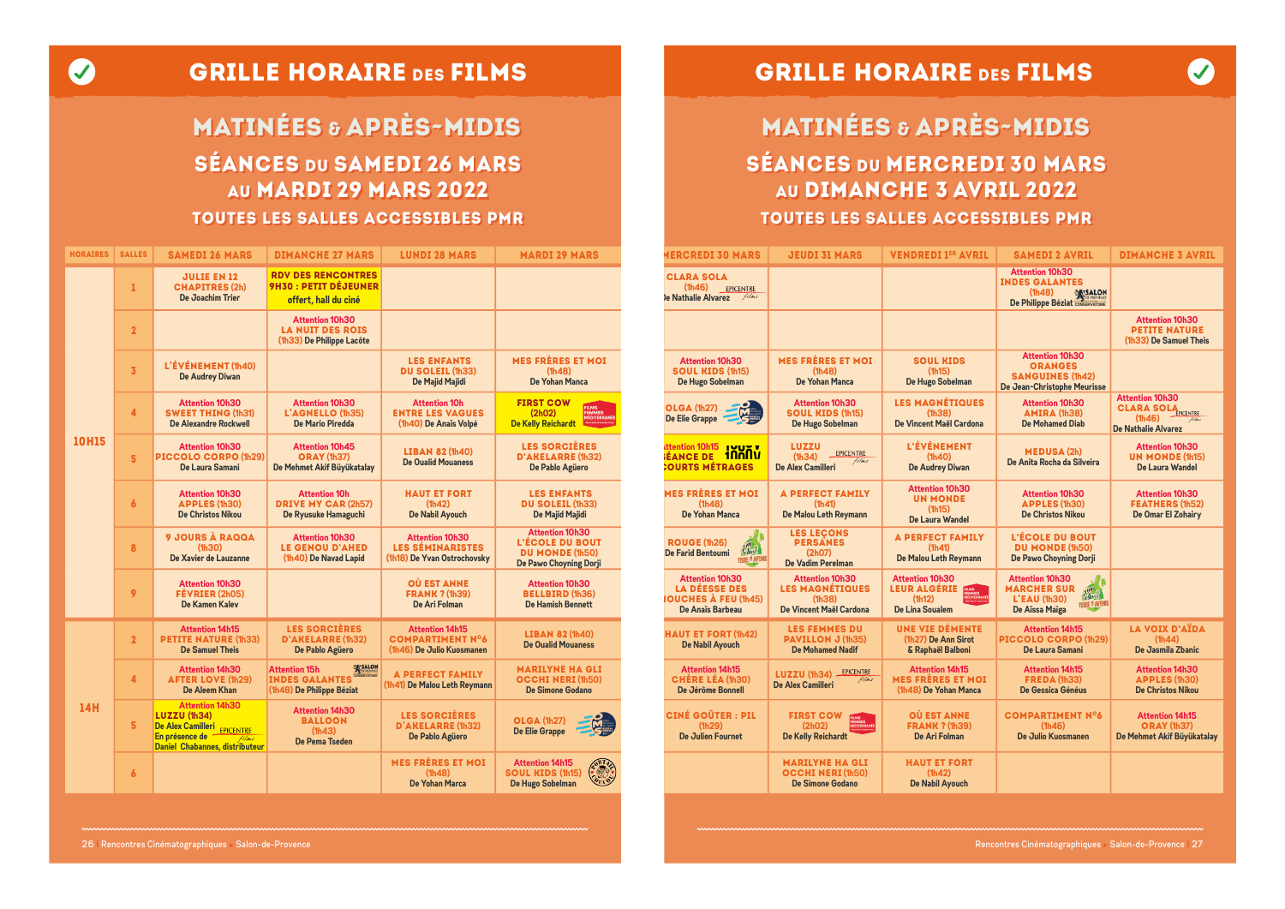| <b>GRILLE HORAIRE DES FILMS</b>   |
|-----------------------------------|
| <b>MATINÉES &amp; APRÈS-MIDIS</b> |

### séances du samedi 26 mars séances du samedi 26 mars au mardi 29 mars 2022 au mardi 29 mars 2022

### toutes les salles accessibles PMR toutes les salles accessibles PMR

| <b>HORAIRES</b> | <b>SALLES</b>   | <b>SAMEDI 26 MARS</b>                                                                                                                        | <b>DIMANCHE 27 MARS</b>                                                                                 | <b>LUNDI 28 MARS</b>                                                             | <b>MARDI 29 MARS</b>                                                                                      |
|-----------------|-----------------|----------------------------------------------------------------------------------------------------------------------------------------------|---------------------------------------------------------------------------------------------------------|----------------------------------------------------------------------------------|-----------------------------------------------------------------------------------------------------------|
| <b>10H15</b>    | ı               | <b>JULIE EN 12</b><br><b>CHAPITRES (2h)</b><br>De Joachim Trier                                                                              | <b>RDV DES RENCONTRES</b><br>9H30 : PETIT DÉJEUNER<br>offert, hall du ciné                              |                                                                                  |                                                                                                           |
|                 | $\overline{2}$  |                                                                                                                                              | <b>Attention 10h30</b><br><b>LA NUIT DES ROIS</b><br>(1h33) De Philippe Lacôte                          |                                                                                  |                                                                                                           |
|                 | $\overline{3}$  | L'ÉVÉNEMENT (1h40)<br>De Audrey Diwan                                                                                                        |                                                                                                         | <b>LES ENFANTS</b><br><b>DU SOLEIL (1h33)</b><br>De Majid Majidi                 | <b>MES FRÈRES ET MOI</b><br>(h48)<br>De Yohan Manca                                                       |
|                 | $\overline{4}$  | <b>Attention 10h30</b><br><b>SWEET THING (1h31)</b><br>De Alexandre Rockwell                                                                 | <b>Attention 10h30</b><br>L'AGNELLO (1h35)<br><b>De Mario Piredda</b>                                   | <b>Attention 10h</b><br><b>ENTRE LES VAGUES</b><br>(1h40) De Anaïs Volpé         | <b>FIRST COW</b><br><b>FILMS</b><br>(2h02)<br><b>FEMMES<br/>MÉDITERRANÉE</b><br><b>De Kelly Reichardt</b> |
|                 | $5\phantom{.0}$ | <b>Attention 10h30</b><br>PICCOLO CORPO (1h29)<br>De Laura Samani                                                                            | <b>Attention 10h45</b><br><b>ORAY (1h37)</b><br>De Mehmet Akif Büyükatalay                              | <b>LIBAN 82 (1h40)</b><br><b>De Oualid Mouaness</b>                              | <b>LES SORCIÈRES</b><br>D'AKELARRE (1h32)<br>De Pablo Agüero                                              |
|                 | 6               | <b>Attention 10h30</b><br><b>APPLES (1h30)</b><br><b>De Christos Nikou</b>                                                                   | <b>Attention 10h</b><br><b>DRIVE MY CAR (2h57)</b><br>De Ryusuke Hamaguchi                              | <b>HAUT ET FORT</b><br>(1h42)<br>De Nabil Ayouch                                 | <b>LES ENFANTS</b><br><b>DU SOLEIL (1h33)</b><br>De Majid Majidi                                          |
|                 | 8               | <b>9 JOURS À RAQQA</b><br>(h30)<br>De Xavier de Lauzanne                                                                                     | <b>Attention 10h30</b><br><b>LE GENOU D'AHED</b><br>(1h40) De Navad Lapid                               | <b>Attention 10h30</b><br><b>LES SÉMINARISTES</b><br>(1h18) De Yvan Ostrochovsky | <b>Attention 10h30</b><br><b>L'ÉCOLE DU BOUT</b><br><b>DU MONDE (1h50)</b><br>De Pawo Choyning Dorji      |
|                 | 9               | <b>Attention 10h30</b><br>FÉVRIER (2h05)<br><b>De Kamen Kalev</b>                                                                            |                                                                                                         | <b>OÙ EST ANNE</b><br><b>FRANK ? (1h39)</b><br>De Ari Folman                     | <b>Attention 10h30</b><br><b>BELLBIRD (1h36)</b><br><b>De Hamish Bennett</b>                              |
| <b>14H</b>      | $\overline{2}$  | <b>Attention 14h15</b><br><b>PETITE NATURE (1h33)</b><br><b>De Samuel Theis</b>                                                              | <b>LES SORCIÈRES</b><br>D'AKELARRE (1h32)<br>De Pablo Agüero                                            | <b>Attention 14h15</b><br><b>COMPARTIMENT Nº6</b><br>(1h46) De Julio Kuosmanen   | <b>LIBAN 82 (1h40)</b><br><b>De Qualid Mouaness</b>                                                       |
|                 | $\overline{4}$  | <b>Attention 14h30</b><br><b>AFTER LOVE (1h29)</b><br><b>De Aleem Khan</b>                                                                   | <b>SALON</b><br><b>Attention 15h</b><br>EERVATORE<br><b>INDES GALANTES</b><br>(1h48) De Philippe Béziat | <b>A PERFECT FAMILY</b><br>(1h41) De Malou Leth Reymann                          | <b>MARILYNE HA GLI</b><br><b>OCCHI NERI (1h50)</b><br><b>De Simone Godano</b>                             |
|                 | $5\phantom{.0}$ | <b>Attention 14h30</b><br><b>LUZZU (1h34)</b><br>De Alex Camilleri<br>EPICENTRE<br>En présence de<br>films<br>Daniel Chabannes, distributeur | <b>Attention 14h30</b><br><b>BALLOON</b><br>(h43)<br><b>De Pema Tseden</b>                              | <b>LES SORCIÈRES</b><br>D'AKELARRE (1h32)<br>De Pablo Agüero                     | <b>OLGA (1h27)</b><br><b>De Elie Grappe</b>                                                               |
|                 | 6               |                                                                                                                                              |                                                                                                         | <b>MES FRÈRES ET MOI</b><br>(h48)<br><b>De Yohan Marca</b>                       | <b>Attention 14h15</b><br><b>SOUL KIDS (1h15)</b><br>De Hugo Sobelman                                     |

### **GRILLE HORAIRE DES FILMS**

## séances du mercredi 30 mars séances du mercredi 30 mars au dimanche 3 avril 2022 au dimanche 3 avril 2022 matinées & après˜midis matinées & après˜midis

### toutes les salles accessibles PMR toutes les salles accessibles PMR

| <b>MERCREDI 30 MARS</b>                                                                           | <b>JEUDI 31 MARS</b>                                                                             | <b>VENDREDI 1ER AVRIL</b>                                                                                            | <b>SAMEDI 2 AVRIL</b>                                                                                                           | <b>DIMANCHE 3 AVRIL</b>                                                              |
|---------------------------------------------------------------------------------------------------|--------------------------------------------------------------------------------------------------|----------------------------------------------------------------------------------------------------------------------|---------------------------------------------------------------------------------------------------------------------------------|--------------------------------------------------------------------------------------|
| <b>CLARA SOLA</b><br>(1h46) EPICENTRE<br>le Nathalie Alvarez<br>films                             |                                                                                                  |                                                                                                                      | <b>Attention 10h30</b><br><b>INDES GALANTES</b><br><b>WESALON</b><br>(h48)<br>De Philippe Béziat CONSERVATOIRE                  |                                                                                      |
|                                                                                                   |                                                                                                  |                                                                                                                      |                                                                                                                                 | <b>Attention 10h30</b><br><b>PETITE NATURE</b><br>(1h33) De Samuel Theis             |
| <b>Attention 10h30</b><br><b>SOUL KIDS (1h15)</b><br>De Hugo Sobelman                             | <b>MES FRÈRES ET MOI</b><br>(h48)<br>De Yohan Manca                                              | <b>SOUL KIDS</b><br>(h15)<br>De Hugo Sobelman                                                                        | <b>Attention 10h30</b><br><b>ORANGES</b><br><b>SANGUINES (1h42)</b><br>De Jean-Christophe Meurisse                              |                                                                                      |
| <b>OLGA (1h27)</b><br>De Elie Grappe                                                              | <b>Attention 10h30</b><br><b>SOUL KIDS (1h15)</b><br>De Hugo Sobelman                            | <b>LES MAGNÉTIQUES</b><br>(h38)<br>De Vincent Maël Cardona                                                           | <b>Attention 10h30</b><br>AMIRA (1h38)<br><b>De Mohamed Diab</b>                                                                | <b>Attention 10h30</b><br><b>CLARA SOLA</b> PICENTRE<br>(h46)<br>De Nathalie Alvarez |
| ttention 10h15 IUUY V<br><b>ÉANCE DE 100UV</b><br><b>COURTS MÉTRAGES</b>                          | LUZZU<br><b>EPICENTRE</b><br>(h34)<br>films<br>De Alex Camilleri                                 | <b>L'ÉVÉNEMENT</b><br>(1h40)<br><b>De Audrey Diwan</b>                                                               | <b>MEDUSA (2h)</b><br>De Anita Rocha da Silveira                                                                                | <b>Attention 10h30</b><br><b>UN MONDE (1h15)</b><br>De Laura Wandel                  |
| <b>MES FRÈRES ET MOI</b><br>(h48)<br><b>De Yohan Manca</b>                                        | <b>A PERFECT FAMILY</b><br>(h41)<br>De Malou Leth Reymann                                        | <b>Attention 10h30</b><br><b>UN MONDE</b><br>(h15)<br><b>De Laura Wandel</b>                                         | <b>Attention 10h30</b><br><b>APPLES (1h30)</b><br><b>De Christos Nikou</b>                                                      | <b>Attention 10h30</b><br><b>FEATHERS (1h52)</b><br>De Omar El Zohairy               |
| <b>ROUGE (1h26)</b><br>festivel.<br><b>De Farid Bentoumi</b><br>TERRE <sup>SI</sup> AVENIR        | <b>LES LECONS</b><br><b>PERSANES</b><br>(2h07)<br><b>De Vadim Perelman</b>                       | <b>A PERFECT FAMILY</b><br>(1h41)<br>De Malou Leth Reymann                                                           | <b>L'ÉCOLE DU BOUT</b><br><b>DU MONDE (1h50)</b><br>De Pawo Choyning Dorji                                                      |                                                                                      |
| <b>Attention 10h30</b><br><b>LA DÉESSE DES</b><br><b>IOUCHES À FEU (1h45)</b><br>De Anaïs Barbeau | <b>Attention 10h30</b><br><b>LES MAGNÉTIQUES</b><br>(h38)<br>De Vincent Maël Cardona             | <b>Attention 10h30</b><br><b>LEUR ALGÉRIE</b><br>FILMS<br>FEMMES<br>MEDITERRANÉE<br>(1h12)<br><b>De Lina Soualem</b> | <b>Attention 10h30</b><br><b>MARCHER SUR</b><br>testing)<br><b>L'EAU (1h30)</b><br>TERRE <sup>SI</sup> AVENIS<br>De Aïssa Maïga |                                                                                      |
| <b>HAUT ET FORT (1h42)</b><br>De Nabil Ayouch                                                     | <b>LES FEMMES DU</b><br>PAVILLON J (1h35)<br><b>De Mohamed Nadif</b>                             | <b>UNE VIE DÉMENTE</b><br>(1h27) De Ann Sirot<br>& Raphaël Balboni                                                   | <b>Attention 14h15</b><br>PICCOLO CORPO (1h29)<br>De Laura Samani                                                               | LA VOIX D'AÏDA<br>(h44)<br>De Jasmila Zbanic                                         |
| <b>Attention 14h15</b><br><b>CHÈRE LÉA (1h30)</b><br>De Jérôme Bonnell                            | <b>EPICENTRE</b><br><b>LUZZU (1h34)</b><br>films<br><b>De Alex Camilleri</b>                     | <b>Attention 14h15</b><br><b>MES FRÈRES ET MOI</b><br>(1h48) De Yohan Manca                                          | <b>Attention 14h15</b><br><b>FREDA (1h33)</b><br>De Gessica Généus                                                              | <b>Attention 14h30</b><br><b>APPLES (1h30)</b><br><b>De Christos Nikou</b>           |
| <b>CINÉ GOÛTER: PIL</b><br>(h29)<br>De Julien Fournet                                             | <b>FIRST COW</b><br><b>ILMS<br/>EMMES<br/>AÉDITERRANÉ</b><br>(2h02)<br><b>De Kelly Reichardt</b> | <b>OÙ EST ANNE</b><br><b>FRANK ? (1h39)</b><br><b>De Ari Folman</b>                                                  | <b>COMPARTIMENT N°6</b><br>(h46)<br>De Julio Kuosmanen                                                                          | <b>Attention 14h15</b><br><b>ORAY (1h37)</b><br>De Mehmet Akif Büyükatalay           |
|                                                                                                   | <b>MARILYNE HA GLI</b><br><b>OCCHI NERI (1h50)</b><br><b>De Simone Godano</b>                    | <b>HAUT ET FORT</b><br>(h42)<br>De Nabil Ayouch                                                                      |                                                                                                                                 |                                                                                      |